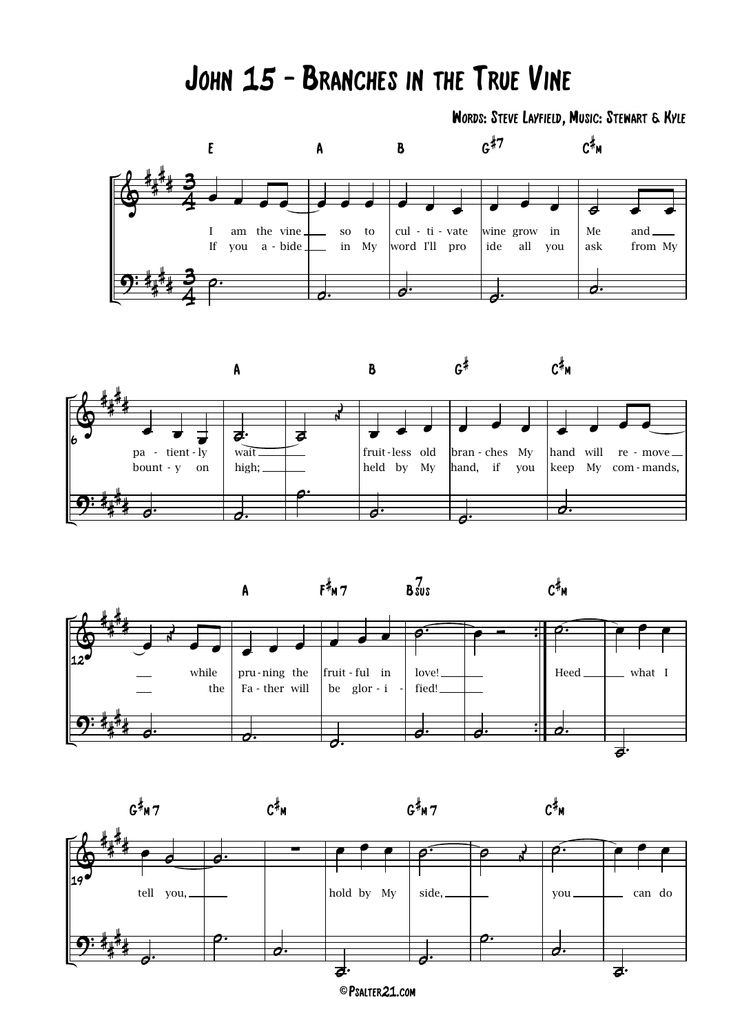## JOHN 15 - BRANCHES IN THE TRUE VINE

WORDS: STEVE LAYFIELD, MUSIC: STEWART & KYLE